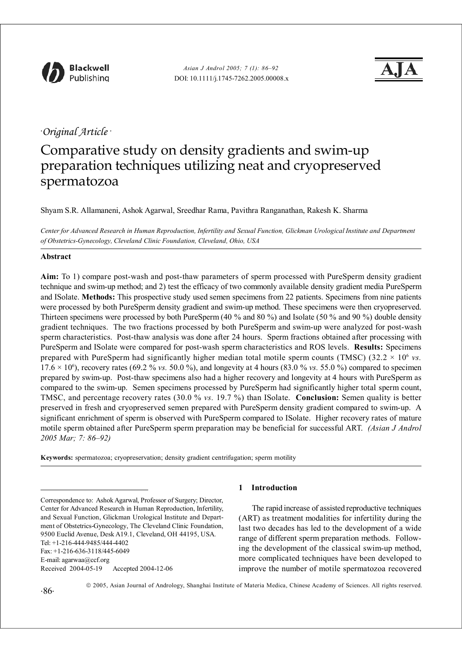

## *. Original Article .*

# Comparative study on density gradients and swim-up preparation techniques utilizing neat and cryopreserved spermatozoa

Shyam S.R. Allamaneni, Ashok Agarwal, Sreedhar Rama, Pavithra Ranganathan, Rakesh K. Sharma

*Center for Advanced Research in Human Reproduction, Infertility and Sexual Function, Glickman Urological Institute and Department of Obstetrics-Gynecology, Cleveland Clinic Foundation, Cleveland, Ohio, USA*

## **Abstract**

**Aim:** To 1) compare post-wash and post-thaw parameters of sperm processed with PureSperm density gradient technique and swim-up method; and 2) test the efficacy of two commonly available density gradient media PureSperm and ISolate. **Methods:** This prospective study used semen specimens from 22 patients. Specimens from nine patients were processed by both PureSperm density gradient and swim-up method. These specimens were then cryopreserved. Thirteen specimens were processed by both PureSperm (40 % and 80 %) and Isolate (50 % and 90 %) double density gradient techniques. The two fractions processed by both PureSperm and swim-up were analyzed for post-wash sperm characteristics. Post-thaw analysis was done after 24 hours. Sperm fractions obtained after processing with PureSperm and ISolate were compared for post-wash sperm characteristics and ROS levels. **Results:** Specimens prepared with PureSperm had significantly higher median total motile sperm counts (TMSC)  $(32.2 \times 10^6 \text{ vs.})$  $17.6 \times 10^6$ ), recovery rates (69.2 % *vs.* 50.0 %), and longevity at 4 hours (83.0 % *vs.* 55.0 %) compared to specimen prepared by swim-up. Post-thaw specimens also had a higher recovery and longevity at 4 hours with PureSperm as compared to the swim-up. Semen specimens processed by PureSperm had significantly higher total sperm count, TMSC, and percentage recovery rates (30.0 % *vs.* 19.7 %) than ISolate. **Conclusion:** Semen quality is better preserved in fresh and cryopreserved semen prepared with PureSperm density gradient compared to swim-up. A significant enrichment of sperm is observed with PureSperm compared to ISolate. Higher recovery rates of mature motile sperm obtained after PureSperm sperm preparation may be beneficial for successful ART. *(Asian J Androl 2005 Mar; 7: 86–92)*

**Keywords:** spermatozoa; cryopreservation; density gradient centrifugation; sperm motility

## **1 Introduction**

The rapid increase of assisted reproductive techniques (ART) as treatment modalities for infertility during the last two decades has led to the development of a wide range of different sperm preparation methods. Following the development of the classical swim-up method, more complicated techniques have been developed to improve the number of motile spermatozoa recovered

Correspondence to: Ashok Agarwal, Professor of Surgery; Director, Center for Advanced Research in Human Reproduction, Infertility, and Sexual Function, Glickman Urological Institute and Department of Obstetrics-Gynecology, The Cleveland Clinic Foundation, 9500 Euclid Avenue, Desk A19.1, Cleveland, OH 44195, USA. Tel: +1-216-444-9485/444-4402 Fax: +1-216-636-3118/445-6049 E-mail: agarwaa@ccf.org Received 2004-05-19 Accepted 2004-12-06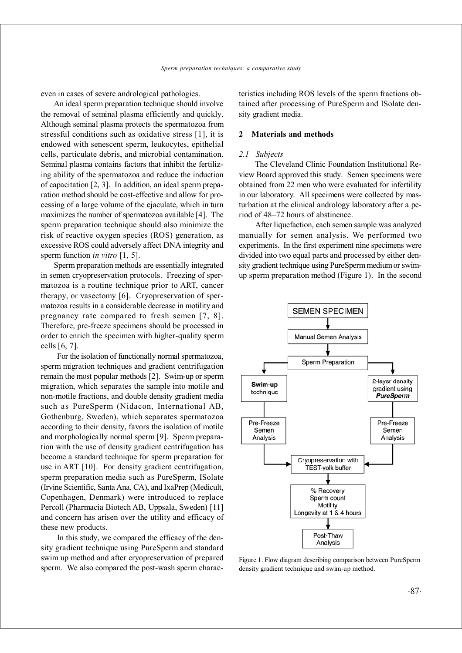even in cases of severe andrological pathologies.

An ideal sperm preparation technique should involve the removal of seminal plasma efficiently and quickly. Although seminal plasma protects the spermatozoa from stressful conditions such as oxidative stress [1], it is endowed with senescent sperm, leukocytes, epithelial cells, particulate debris, and microbial contamination. Seminal plasma contains factors that inhibit the fertilizing ability of the spermatozoa and reduce the induction of capacitation [2, 3]. In addition, an ideal sperm preparation method should be cost-effective and allow for processing of a large volume of the ejaculate, which in turn maximizes the number of spermatozoa available [4]. The sperm preparation technique should also minimize the risk of reactive oxygen species (ROS) generation, as excessive ROS could adversely affect DNA integrity and sperm function *in vitro* [1, 5].

Sperm preparation methods are essentially integrated in semen cryopreservation protocols. Freezing of spermatozoa is a routine technique prior to ART, cancer therapy, or vasectomy [6]. Cryopreservation of spermatozoa results in a considerable decrease in motility and pregnancy rate compared to fresh semen [7, 8]. Therefore, pre-freeze specimens should be processed in order to enrich the specimen with higher-quality sperm cells [6, 7].

For the isolation of functionally normal spermatozoa, sperm migration techniques and gradient centrifugation remain the most popular methods [2]. Swim-up or sperm migration, which separates the sample into motile and non-motile fractions, and double density gradient media such as PureSperm (Nidacon, International AB, Gothenburg, Sweden), which separates spermatozoa according to their density, favors the isolation of motile and morphologically normal sperm [9]. Sperm preparation with the use of density gradient centrifugation has become a standard technique for sperm preparation for use in ART [10]. For density gradient centrifugation, sperm preparation media such as PureSperm, ISolate (Irvine Scientific, Santa Ana, CA), and IxaPrep (Medicult, Copenhagen, Denmark) were introduced to replace Percoll (Pharmacia Biotech AB, Uppsala, Sweden) [11] and concern has arisen over the utility and efficacy of these new products.

In this study, we compared the efficacy of the density gradient technique using PureSperm and standard swim up method and after cryopreservation of prepared sperm. We also compared the post-wash sperm characteristics including ROS levels of the sperm fractions obtained after processing of PureSperm and ISolate density gradient media.

#### **2 Materials and methods**

#### *2.1 Subjects*

The Cleveland Clinic Foundation Institutional Review Board approved this study. Semen specimens were obtained from 22 men who were evaluated for infertility in our laboratory. All specimens were collected by masturbation at the clinical andrology laboratory after a period of 48–72 hours of abstinence.

After liquefaction, each semen sample was analyzed manually for semen analysis. We performed two experiments. In the first experiment nine specimens were divided into two equal parts and processed by either density gradient technique using PureSperm medium or swimup sperm preparation method (Figure 1). In the second



Figure 1. Flow diagram describing comparison between PureSperm density gradient technique and swim-up method.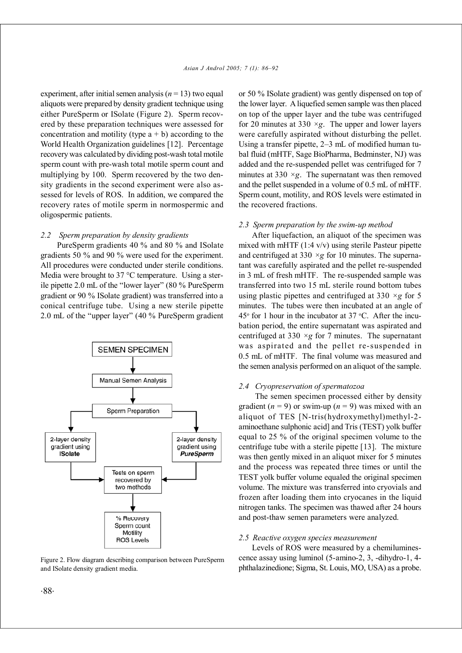experiment, after initial semen analysis  $(n = 13)$  two equal aliquots were prepared by density gradient technique using either PureSperm or ISolate (Figure 2). Sperm recovered by these preparation techniques were assessed for concentration and motility (type  $a + b$ ) according to the World Health Organization guidelines [12]. Percentage recovery was calculated by dividing post-wash total motile sperm count with pre-wash total motile sperm count and multiplying by 100. Sperm recovered by the two density gradients in the second experiment were also assessed for levels of ROS. In addition, we compared the recovery rates of motile sperm in normospermic and oligospermic patients.

#### *2.2 Sperm preparation by density gradients*

PureSperm gradients 40 % and 80 % and ISolate gradients 50 % and 90 % were used for the experiment. All procedures were conducted under sterile conditions. Media were brought to 37 °C temperature. Using a sterile pipette 2.0 mL of the "lower layer" (80 % PureSperm gradient or 90 % ISolate gradient) was transferred into a conical centrifuge tube. Using a new sterile pipette 2.0 mL of the "upper layer" (40 % PureSperm gradient



Figure 2. Flow diagram describing comparison between PureSperm and ISolate density gradient media.

or 50 % ISolate gradient) was gently dispensed on top of the lower layer. A liquefied semen sample was then placed on top of the upper layer and the tube was centrifuged for 20 minutes at 330  $\times g$ . The upper and lower layers were carefully aspirated without disturbing the pellet. Using a transfer pipette, 2–3 mL of modified human tubal fluid (mHTF, Sage BioPharma, Bedminster, NJ) was added and the re-suspended pellet was centrifuged for 7 minutes at  $330 \times g$ . The supernatant was then removed and the pellet suspended in a volume of 0.5 mL of mHTF. Sperm count, motility, and ROS levels were estimated in the recovered fractions.

#### *2.3 Sperm preparation by the swim-up method*

After liquefaction, an aliquot of the specimen was mixed with mHTF  $(1:4 \text{ v/v})$  using sterile Pasteur pipette and centrifuged at 330  $\times g$  for 10 minutes. The supernatant was carefully aspirated and the pellet re-suspended in 3 mL of fresh mHTF. The re-suspended sample was transferred into two 15 mL sterile round bottom tubes using plastic pipettes and centrifuged at 330 *×g* for 5 minutes. The tubes were then incubated at an angle of  $45^{\circ}$  for 1 hour in the incubator at 37 °C. After the incubation period, the entire supernatant was aspirated and centrifuged at  $330 \times g$  for 7 minutes. The supernatant was aspirated and the pellet re-suspended in 0.5 mL of mHTF. The final volume was measured and the semen analysis performed on an aliquot of the sample.

#### *2.4 Cryopreservation of spermatozoa*

The semen specimen processed either by density gradient  $(n = 9)$  or swim-up  $(n = 9)$  was mixed with an aliquot of TES [N-tris(hydroxymethyl)methyl-2 aminoethane sulphonic acid] and Tris (TEST) yolk buffer equal to 25 % of the original specimen volume to the centrifuge tube with a sterile pipette [13]. The mixture was then gently mixed in an aliquot mixer for 5 minutes and the process was repeated three times or until the TEST yolk buffer volume equaled the original specimen volume. The mixture was transferred into cryovials and frozen after loading them into cryocanes in the liquid nitrogen tanks. The specimen was thawed after 24 hours and post-thaw semen parameters were analyzed.

#### *2.5 Reactive oxygen species measurement*

Levels of ROS were measured by a chemiluminescence assay using luminol (5-amino-2, 3, -dihydro-1, 4 phthalazinedione; Sigma, St. Louis, MO, USA) as a probe.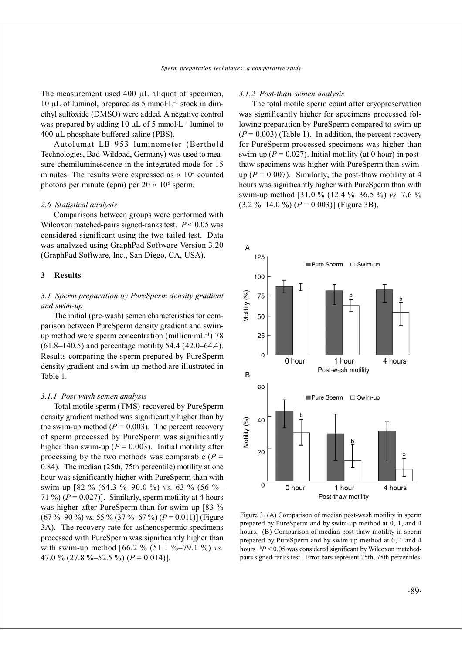The measurement used 400 µL aliquot of specimen, 10 µL of luminol, prepared as 5 mmol $L^{-1}$  stock in dimethyl sulfoxide (DMSO) were added. A negative control was prepared by adding 10  $\mu$ L of 5 mmol $\overline{L}^{-1}$  luminol to 400 µL phosphate buffered saline (PBS).

Autolumat LB 953 luminometer (Berthold Technologies, Bad-Wildbad, Germany) was used to measure chemiluminescence in the integrated mode for 15 minutes. The results were expressed as  $\times 10^4$  counted photons per minute (cpm) per  $20 \times 10^6$  sperm.

#### *2.6 Statistical analysis*

Comparisons between groups were performed with Wilcoxon matched-pairs signed-ranks test.  $P \leq 0.05$  was considered significant using the two-tailed test. Data was analyzed using GraphPad Software Version 3.20 (GraphPad Software, Inc., San Diego, CA, USA).

### **3 Results**

## *3.1 Sperm preparation by PureSperm density gradient and swim-up*

The initial (pre-wash) semen characteristics for comparison between PureSperm density gradient and swimup method were sperm concentration (million $\cdot$ mL<sup>-1</sup>) 78 (61.8–140.5) and percentage motility 54.4 (42.0–64.4). Results comparing the sperm prepared by PureSperm density gradient and swim-up method are illustrated in Table 1.

#### *3.1.1 Post-wash semen analysis*

Total motile sperm (TMS) recovered by PureSperm density gradient method was significantly higher than by the swim-up method  $(P = 0.003)$ . The percent recovery of sperm processed by PureSperm was significantly higher than swim-up  $(P = 0.003)$ . Initial motility after processing by the two methods was comparable  $(P =$ 0.84). The median (25th, 75th percentile) motility at one hour was significantly higher with PureSperm than with swim-up [82 % (64.3 %–90.0 %) *vs.* 63 % (56 %– 71 %)  $(P = 0.027)$ ]. Similarly, sperm motility at 4 hours was higher after PureSperm than for swim-up [83 %  $(67\% - 90\%)$  *vs.* 55 %  $(37\% - 67\%)$   $(P = 0.011)$  (Figure 3A). The recovery rate for asthenospermic specimens processed with PureSperm was significantly higher than with swim-up method [66.2 % (51.1 %–79.1 %) *vs.* 47.0 % (27.8 %–52.5 %)  $(P = 0.014)$ ].

#### *3.1.2 Post-thaw semen analysis*

The total motile sperm count after cryopreservation was significantly higher for specimens processed following preparation by PureSperm compared to swim-up  $(P = 0.003)$  (Table 1). In addition, the percent recovery for PureSperm processed specimens was higher than swim-up ( $P = 0.027$ ). Initial motility (at 0 hour) in postthaw specimens was higher with PureSperm than swimup  $(P = 0.007)$ . Similarly, the post-thaw motility at 4 hours was significantly higher with PureSperm than with swim-up method [31.0 % (12.4 %–36.5 %) *vs.* 7.6 %  $(3.2 \text{ %} -14.0 \text{ %})$   $(P = 0.003)$ ] (Figure 3B).



Figure 3. (A) Comparison of median post-wash motility in sperm prepared by PureSperm and by swim-up method at 0, 1, and 4 hours. (B) Comparison of median post-thaw motility in sperm prepared by PureSperm and by swim-up method at 0, 1 and 4 hours. b*P* < 0.05 was considered significant by Wilcoxon matchedpairs signed-ranks test. Error bars represent 25th, 75th percentiles.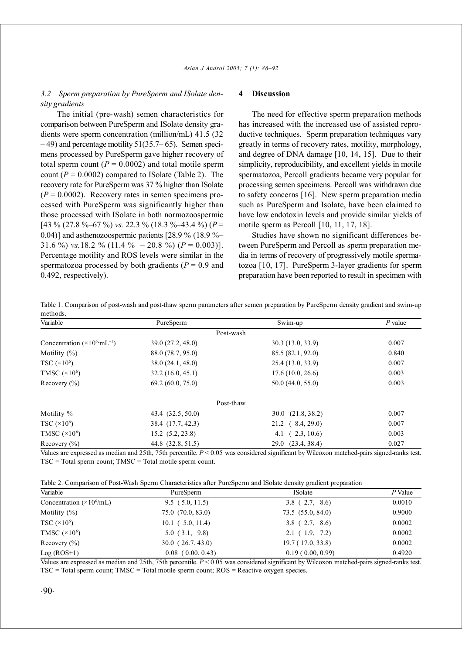## *3.2 Sperm preparation by PureSperm and ISolate density gradients*

The initial (pre-wash) semen characteristics for comparison between PureSperm and ISolate density gradients were sperm concentration (million/mL) 41.5 (32  $-49$ ) and percentage motility 51(35.7–65). Semen specimens processed by PureSperm gave higher recovery of total sperm count  $(P = 0.0002)$  and total motile sperm count  $(P = 0.0002)$  compared to ISolate (Table 2). The recovery rate for PureSperm was 37 % higher than ISolate  $(P = 0.0002)$ . Recovery rates in semen specimens processed with PureSperm was significantly higher than those processed with ISolate in both normozoospermic  $[43\% (27.8\% - 67\%)$  *vs.* 22.3 % (18.3 %–43.4 %) (*P* = 0.04)] and asthenozoospermic patients [28.9  $\%$  (18.9  $\%$ – 31.6 %) *vs.*18.2 % (11.4 % – 20.8 %)  $(P = 0.003)$ ]. Percentage motility and ROS levels were similar in the spermatozoa processed by both gradients ( $P = 0.9$  and 0.492, respectively).

#### **4 Discussion**

The need for effective sperm preparation methods has increased with the increased use of assisted reproductive techniques. Sperm preparation techniques vary greatly in terms of recovery rates, motility, morphology, and degree of DNA damage [10, 14, 15]. Due to their simplicity, reproducibility, and excellent yields in motile spermatozoa, Percoll gradients became very popular for processing semen specimens. Percoll was withdrawn due to safety concerns [16]. New sperm preparation media such as PureSperm and Isolate, have been claimed to have low endotoxin levels and provide similar yields of motile sperm as Percoll [10, 11, 17, 18].

Studies have shown no significant differences between PureSperm and Percoll as sperm preparation media in terms of recovery of progressively motile spermatozoa [10, 17]. PureSperm 3-layer gradients for sperm preparation have been reported to result in specimen with

| Variable                                      | PureSperm         | Swim-up                  | $P$ value |
|-----------------------------------------------|-------------------|--------------------------|-----------|
|                                               | Post-wash         |                          |           |
| Concentration $(\times 10^6 \text{·mL}^{-1})$ | 39.0(27.2, 48.0)  | 30.3(13.0, 33.9)         | 0.007     |
| Motility $(\% )$                              | 88.0 (78.7, 95.0) | 85.5(82.1, 92.0)         | 0.840     |
| TSC $(\times 10^6)$                           | 38.0(24.1, 48.0)  | 25.4(13.0, 33.9)         | 0.007     |
| TMSC $(\times 10^6)$                          | 32.2(16.0, 45.1)  | 17.6(10.0, 26.6)         | 0.003     |
| Recovery $(\% )$                              | 69.2(60.0, 75.0)  | 50.0(44.0, 55.0)         | 0.003     |
|                                               | Post-thaw         |                          |           |
| Motility %                                    | 43.4 (32.5, 50.0) | $30.0$ $(21.8, 38.2)$    | 0.007     |
| TSC $(\times 10^6)$                           | 38.4 (17.7, 42.3) | $21.2 \quad (8.4, 29.0)$ | 0.007     |
| TMSC $(\times 10^6)$                          | 15.2(5.2, 23.8)   | (2.3, 10.6)<br>4.1       | 0.003     |
| Recovery $(\% )$                              | 44.8 (32.8, 51.5) | 29.0 (23.4, 38.4)        | 0.027     |

Table 1. Comparison of post-wash and post-thaw sperm parameters after semen preparation by PureSperm density gradient and swim-up methods.

Values are expressed as median and 25th, 75th percentile. *P* < 0.05 was considered significant by Wilcoxon matched-pairs signed-ranks test. TSC = Total sperm count; TMSC = Total motile sperm count.

Table 2. Comparison of Post-Wash Sperm Characteristics after PureSperm and ISolate density gradient preparation

| Variable                                | PureSperm             | <b>ISolate</b>   | $P$ Value |
|-----------------------------------------|-----------------------|------------------|-----------|
| Concentration $(\times 10^6/\text{mL})$ | 9.5(5.0, 11.5)        | $3.8$ (2.7, 8.6) | 0.0010    |
| Motility $(\% )$                        | 75.0(70.0, 83.0)      | 73.5(55.0, 84.0) | 0.9000    |
| TSC $(\times 10^6)$                     | $10.1$ ( 5.0, 11.4)   | $3.8$ (2.7, 8.6) | 0.0002    |
| TMSC $(\times 10^6)$                    | $5.0$ $(3.1, 9.8)$    | 2.1(1.9, 7.2)    | 0.0002    |
| Recovery $(\% )$                        | $30.0$ $(26.7, 43.0)$ | 19.7(17.0, 33.8) | 0.0002    |
| $Log (ROS+1)$                           | $0.08$ (0.00, 0.43)   | 0.19(0.00, 0.99) | 0.4920    |

Values are expressed as median and 25th, 75th percentile. *P* < 0.05 was considered significant by Wilcoxon matched-pairs signed-ranks test. TSC = Total sperm count; TMSC = Total motile sperm count; ROS = Reactive oxygen species.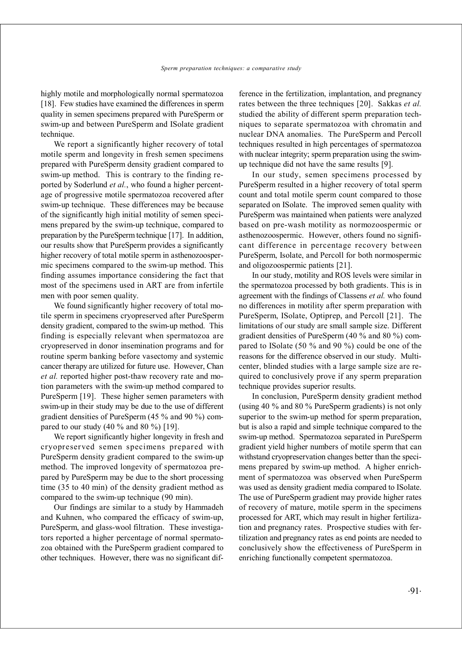highly motile and morphologically normal spermatozoa [18]. Few studies have examined the differences in sperm quality in semen specimens prepared with PureSperm or swim-up and between PureSperm and ISolate gradient technique.

We report a significantly higher recovery of total motile sperm and longevity in fresh semen specimens prepared with PureSperm density gradient compared to swim-up method. This is contrary to the finding reported by Soderlund *et al.*, who found a higher percentage of progressive motile spermatozoa recovered after swim-up technique. These differences may be because of the significantly high initial motility of semen specimens prepared by the swim-up technique, compared to preparation by the PureSperm technique [17]. In addition, our results show that PureSperm provides a significantly higher recovery of total motile sperm in asthenozoospermic specimens compared to the swim-up method. This finding assumes importance considering the fact that most of the specimens used in ART are from infertile men with poor semen quality.

We found significantly higher recovery of total motile sperm in specimens cryopreserved after PureSperm density gradient, compared to the swim-up method. This finding is especially relevant when spermatozoa are cryopreserved in donor insemination programs and for routine sperm banking before vasectomy and systemic cancer therapy are utilized for future use. However, Chan *et al.* reported higher post-thaw recovery rate and motion parameters with the swim-up method compared to PureSperm [19]. These higher semen parameters with swim-up in their study may be due to the use of different gradient densities of PureSperm (45 % and 90 %) compared to our study  $(40\% \text{ and } 80\%)$  [19].

We report significantly higher longevity in fresh and cryopreserved semen specimens prepared with PureSperm density gradient compared to the swim-up method. The improved longevity of spermatozoa prepared by PureSperm may be due to the short processing time (35 to 40 min) of the density gradient method as compared to the swim-up technique (90 min).

Our findings are similar to a study by Hammadeh and Kuhnen, who compared the efficacy of swim-up, PureSperm, and glass-wool filtration. These investigators reported a higher percentage of normal spermatozoa obtained with the PureSperm gradient compared to other techniques. However, there was no significant difference in the fertilization, implantation, and pregnancy rates between the three techniques [20]. Sakkas *et al.* studied the ability of different sperm preparation techniques to separate spermatozoa with chromatin and nuclear DNA anomalies. The PureSperm and Percoll techniques resulted in high percentages of spermatozoa with nuclear integrity; sperm preparation using the swimup technique did not have the same results [9].

In our study, semen specimens processed by PureSperm resulted in a higher recovery of total sperm count and total motile sperm count compared to those separated on ISolate. The improved semen quality with PureSperm was maintained when patients were analyzed based on pre-wash motility as normozoospermic or asthenozoospermic. However, others found no significant difference in percentage recovery between PureSperm, Isolate, and Percoll for both normospermic and oligozoospermic patients [21].

In our study, motility and ROS levels were similar in the spermatozoa processed by both gradients. This is in agreement with the findings of Classens *et al.* who found no differences in motility after sperm preparation with PureSperm, ISolate, Optiprep, and Percoll [21]. The limitations of our study are small sample size. Different gradient densities of PureSperm (40 % and 80 %) compared to ISolate (50 % and 90 %) could be one of the reasons for the difference observed in our study. Multicenter, blinded studies with a large sample size are required to conclusively prove if any sperm preparation technique provides superior results.

In conclusion, PureSperm density gradient method (using 40 % and 80 % PureSperm gradients) is not only superior to the swim-up method for sperm preparation, but is also a rapid and simple technique compared to the swim-up method. Spermatozoa separated in PureSperm gradient yield higher numbers of motile sperm that can withstand cryopreservation changes better than the specimens prepared by swim-up method. A higher enrichment of spermatozoa was observed when PureSperm was used as density gradient media compared to ISolate. The use of PureSperm gradient may provide higher rates of recovery of mature, motile sperm in the specimens processed for ART, which may result in higher fertilization and pregnancy rates. Prospective studies with fertilization and pregnancy rates as end points are needed to conclusively show the effectiveness of PureSperm in enriching functionally competent spermatozoa.